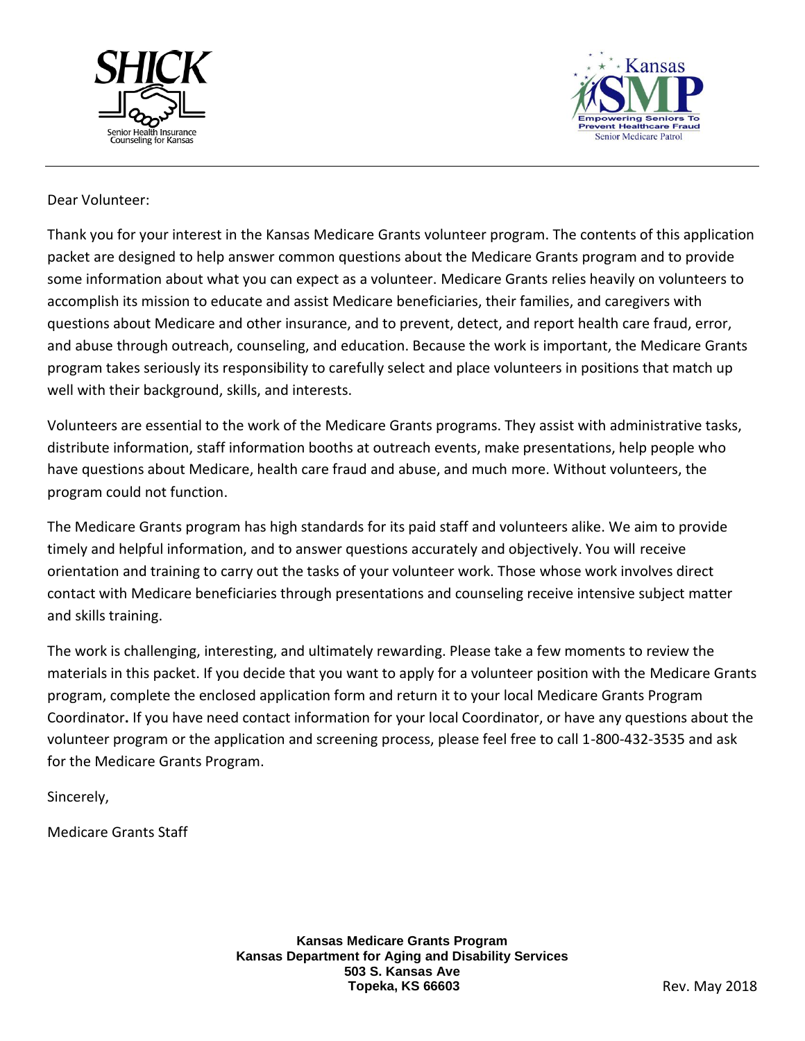



### Dear Volunteer:

Thank you for your interest in the Kansas Medicare Grants volunteer program. The contents of this application packet are designed to help answer common questions about the Medicare Grants program and to provide some information about what you can expect as a volunteer. Medicare Grants relies heavily on volunteers to accomplish its mission to educate and assist Medicare beneficiaries, their families, and caregivers with questions about Medicare and other insurance, and to prevent, detect, and report health care fraud, error, and abuse through outreach, counseling, and education. Because the work is important, the Medicare Grants program takes seriously its responsibility to carefully select and place volunteers in positions that match up well with their background, skills, and interests.

Volunteers are essential to the work of the Medicare Grants programs. They assist with administrative tasks, distribute information, staff information booths at outreach events, make presentations, help people who have questions about Medicare, health care fraud and abuse, and much more. Without volunteers, the program could not function.

The Medicare Grants program has high standards for its paid staff and volunteers alike. We aim to provide timely and helpful information, and to answer questions accurately and objectively. You will receive orientation and training to carry out the tasks of your volunteer work. Those whose work involves direct contact with Medicare beneficiaries through presentations and counseling receive intensive subject matter and skills training.

The work is challenging, interesting, and ultimately rewarding. Please take a few moments to review the materials in this packet. If you decide that you want to apply for a volunteer position with the Medicare Grants program, complete the enclosed application form and return it to your local Medicare Grants Program Coordinator**.** If you have need contact information for your local Coordinator, or have any questions about the volunteer program or the application and screening process, please feel free to call 1-800-432-3535 and ask for the Medicare Grants Program.

Sincerely,

Medicare Grants Staff

**Kansas Medicare Grants Program Kansas Department for Aging and Disability Services 503 S. Kansas Ave Topeka, KS 66603** Rev. May 2018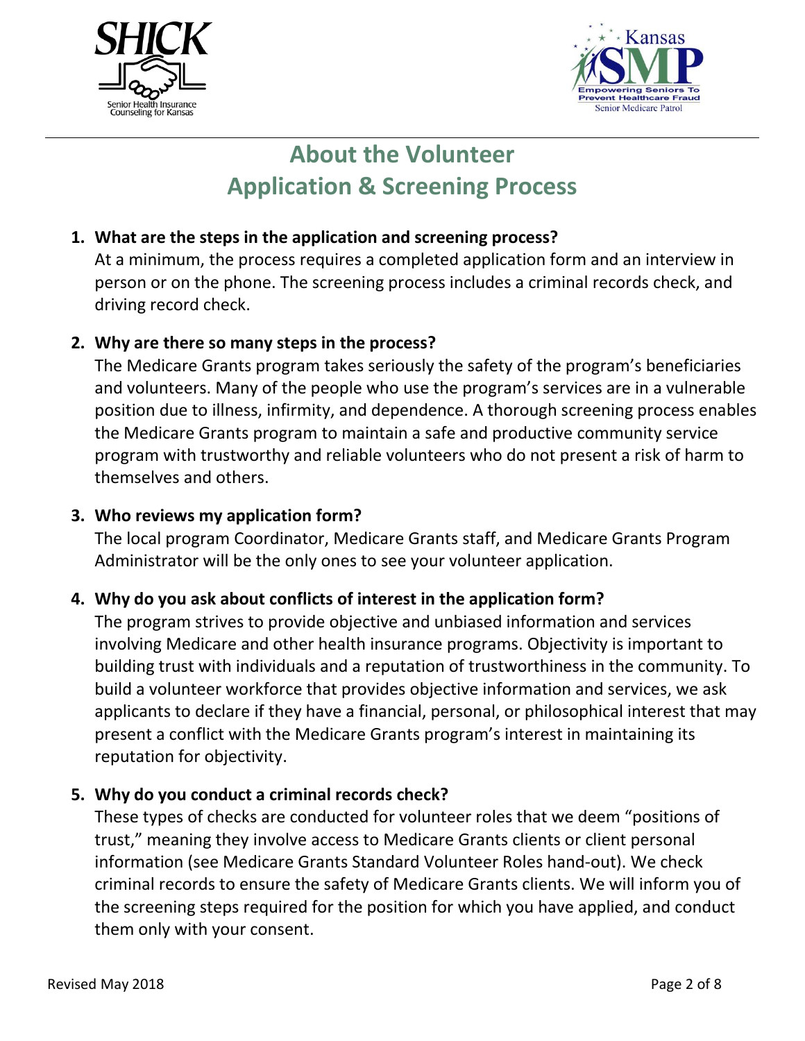



# **About the Volunteer Application & Screening Process**

### **1. What are the steps in the application and screening process?**

At a minimum, the process requires a completed application form and an interview in person or on the phone. The screening process includes a criminal records check, and driving record check.

### **2. Why are there so many steps in the process?**

The Medicare Grants program takes seriously the safety of the program's beneficiaries and volunteers. Many of the people who use the program's services are in a vulnerable position due to illness, infirmity, and dependence. A thorough screening process enables the Medicare Grants program to maintain a safe and productive community service program with trustworthy and reliable volunteers who do not present a risk of harm to themselves and others.

### **3. Who reviews my application form?**

The local program Coordinator, Medicare Grants staff, and Medicare Grants Program Administrator will be the only ones to see your volunteer application.

## **4. Why do you ask about conflicts of interest in the application form?**

The program strives to provide objective and unbiased information and services involving Medicare and other health insurance programs. Objectivity is important to building trust with individuals and a reputation of trustworthiness in the community. To build a volunteer workforce that provides objective information and services, we ask applicants to declare if they have a financial, personal, or philosophical interest that may present a conflict with the Medicare Grants program's interest in maintaining its reputation for objectivity.

### **5. Why do you conduct a criminal records check?**

These types of checks are conducted for volunteer roles that we deem "positions of trust," meaning they involve access to Medicare Grants clients or client personal information (see Medicare Grants Standard Volunteer Roles hand-out). We check criminal records to ensure the safety of Medicare Grants clients. We will inform you of the screening steps required for the position for which you have applied, and conduct them only with your consent.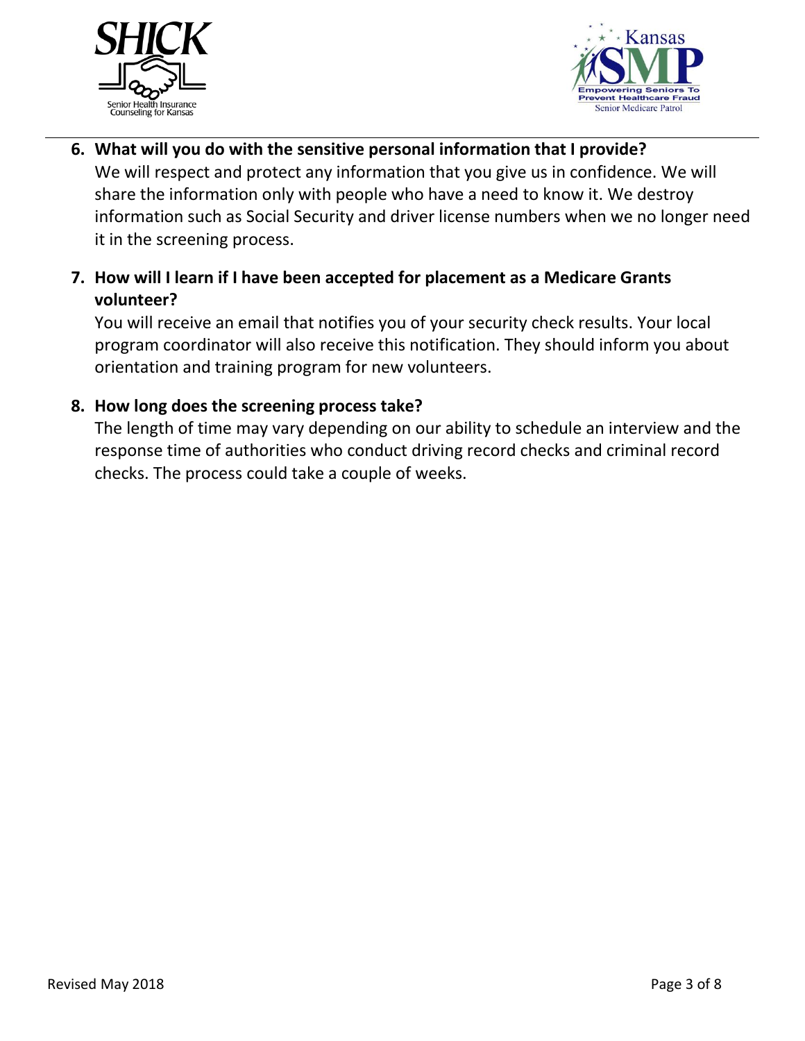



- **6. What will you do with the sensitive personal information that I provide?**  We will respect and protect any information that you give us in confidence. We will share the information only with people who have a need to know it. We destroy information such as Social Security and driver license numbers when we no longer need it in the screening process.
- **7. How will I learn if I have been accepted for placement as a Medicare Grants volunteer?**

You will receive an email that notifies you of your security check results. Your local program coordinator will also receive this notification. They should inform you about orientation and training program for new volunteers.

## **8. How long does the screening process take?**

The length of time may vary depending on our ability to schedule an interview and the response time of authorities who conduct driving record checks and criminal record checks. The process could take a couple of weeks.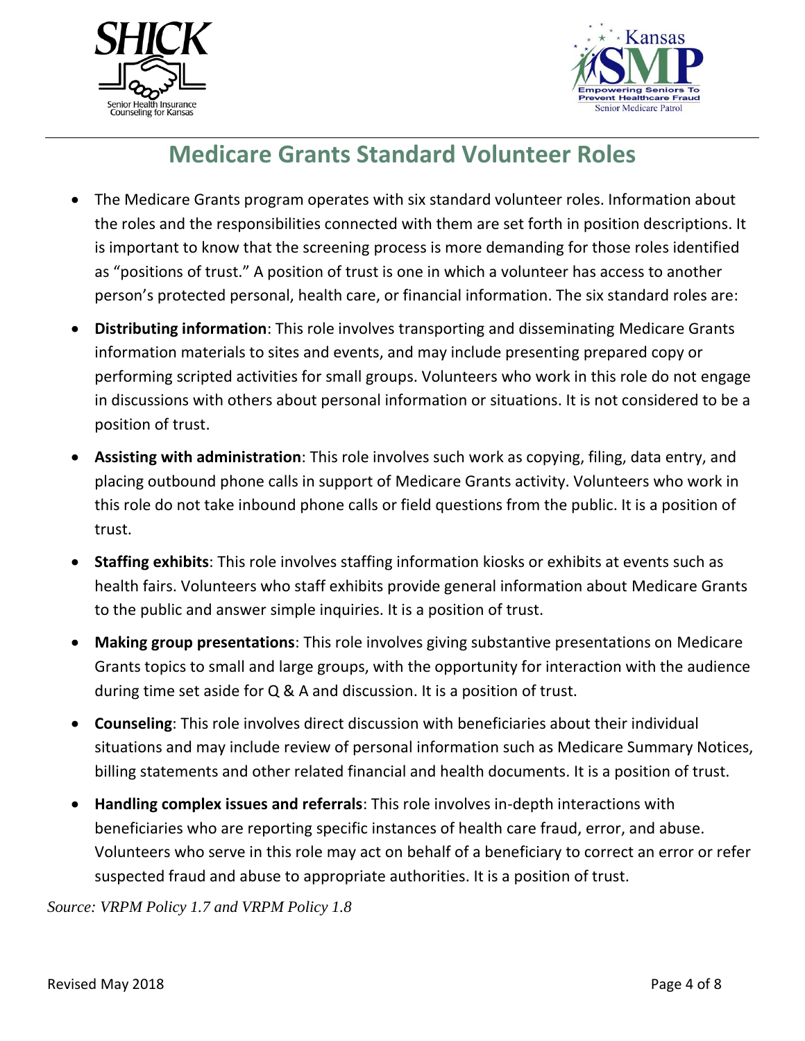



# **Medicare Grants Standard Volunteer Roles**

- The Medicare Grants program operates with six standard volunteer roles. Information about the roles and the responsibilities connected with them are set forth in position descriptions. It is important to know that the screening process is more demanding for those roles identified as "positions of trust." A position of trust is one in which a volunteer has access to another person's protected personal, health care, or financial information. The six standard roles are:
- **Distributing information**: This role involves transporting and disseminating Medicare Grants information materials to sites and events, and may include presenting prepared copy or performing scripted activities for small groups. Volunteers who work in this role do not engage in discussions with others about personal information or situations. It is not considered to be a position of trust.
- **Assisting with administration**: This role involves such work as copying, filing, data entry, and placing outbound phone calls in support of Medicare Grants activity. Volunteers who work in this role do not take inbound phone calls or field questions from the public. It is a position of trust.
- **Staffing exhibits**: This role involves staffing information kiosks or exhibits at events such as health fairs. Volunteers who staff exhibits provide general information about Medicare Grants to the public and answer simple inquiries. It is a position of trust.
- **Making group presentations**: This role involves giving substantive presentations on Medicare Grants topics to small and large groups, with the opportunity for interaction with the audience during time set aside for Q & A and discussion. It is a position of trust.
- **Counseling**: This role involves direct discussion with beneficiaries about their individual situations and may include review of personal information such as Medicare Summary Notices, billing statements and other related financial and health documents. It is a position of trust.
- **Handling complex issues and referrals**: This role involves in-depth interactions with beneficiaries who are reporting specific instances of health care fraud, error, and abuse. Volunteers who serve in this role may act on behalf of a beneficiary to correct an error or refer suspected fraud and abuse to appropriate authorities. It is a position of trust.

*Source: VRPM Policy 1.7 and VRPM Policy 1.8*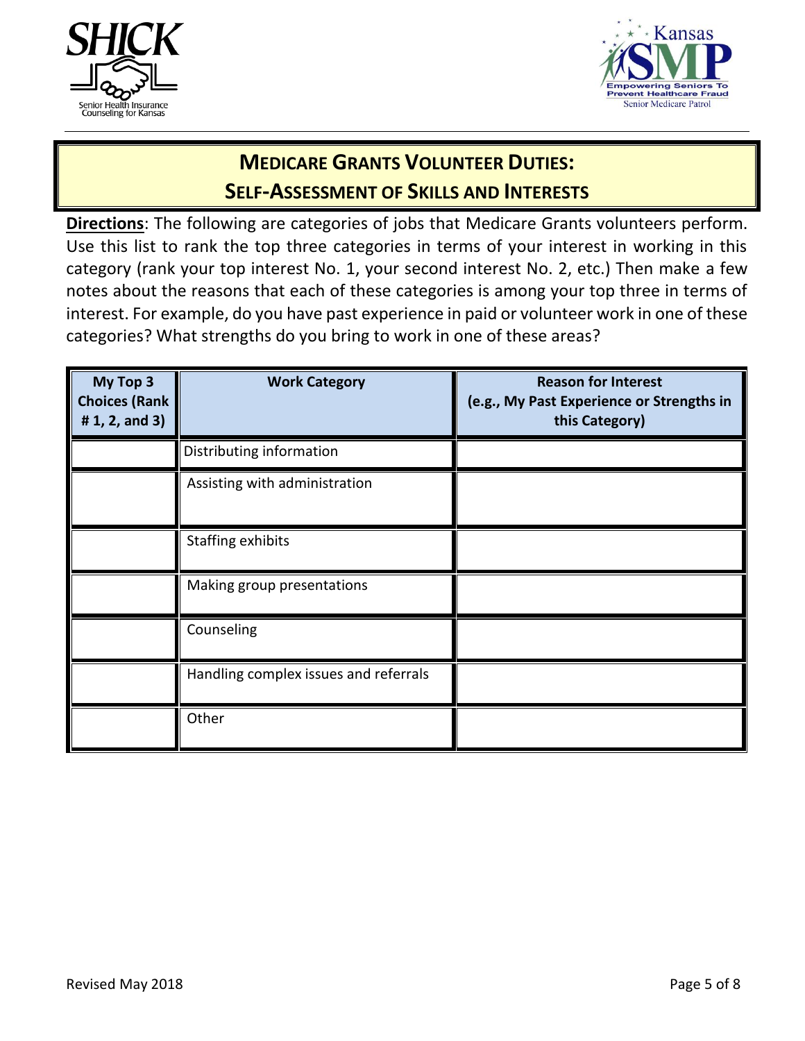



## **MEDICARE GRANTS VOLUNTEER DUTIES: SELF-ASSESSMENT OF SKILLS AND INTERESTS**

**Directions**: The following are categories of jobs that Medicare Grants volunteers perform. Use this list to rank the top three categories in terms of your interest in working in this category (rank your top interest No. 1, your second interest No. 2, etc.) Then make a few notes about the reasons that each of these categories is among your top three in terms of interest. For example, do you have past experience in paid or volunteer work in one of these categories? What strengths do you bring to work in one of these areas?

| My Top 3<br><b>Choices (Rank</b><br># $1, 2,$ and $3)$ | <b>Work Category</b>                  | <b>Reason for Interest</b><br>(e.g., My Past Experience or Strengths in<br>this Category) |
|--------------------------------------------------------|---------------------------------------|-------------------------------------------------------------------------------------------|
|                                                        | Distributing information              |                                                                                           |
|                                                        | Assisting with administration         |                                                                                           |
|                                                        | Staffing exhibits                     |                                                                                           |
|                                                        | Making group presentations            |                                                                                           |
|                                                        | Counseling                            |                                                                                           |
|                                                        | Handling complex issues and referrals |                                                                                           |
|                                                        | Other                                 |                                                                                           |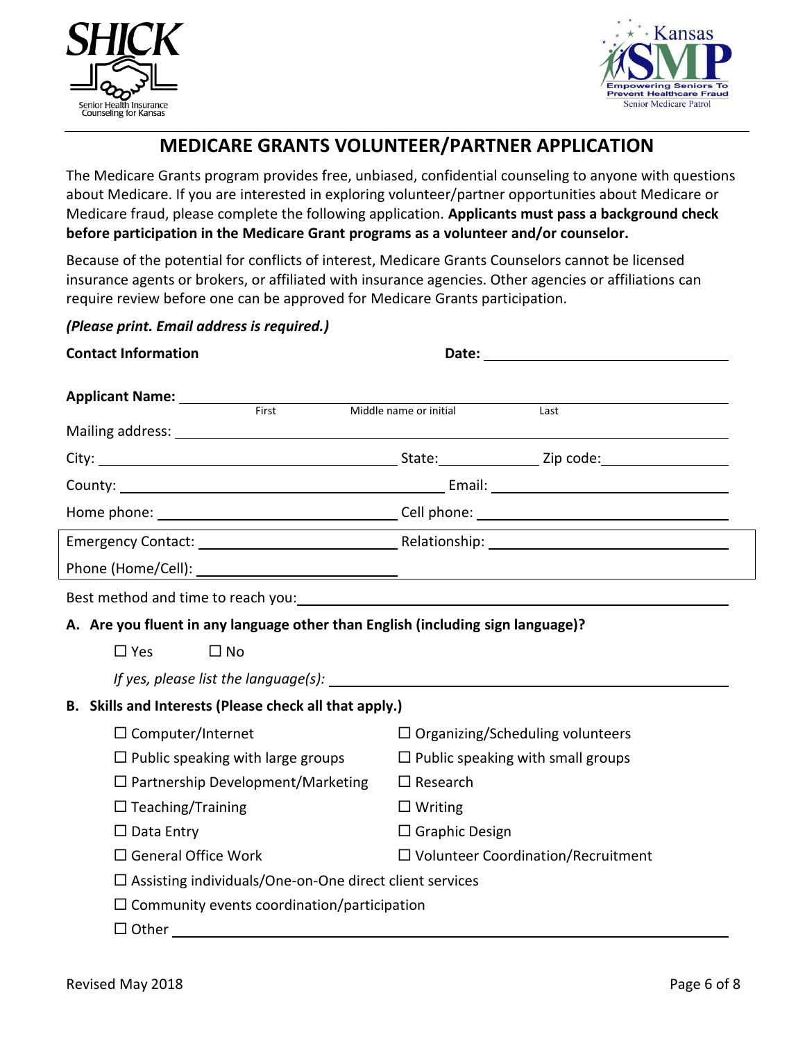



## **MEDICARE GRANTS VOLUNTEER/PARTNER APPLICATION**

The Medicare Grants program provides free, unbiased, confidential counseling to anyone with questions about Medicare. If you are interested in exploring volunteer/partner opportunities about Medicare or Medicare fraud, please complete the following application. **Applicants must pass a background check before participation in the Medicare Grant programs as a volunteer and/or counselor.**

Because of the potential for conflicts of interest, Medicare Grants Counselors cannot be licensed insurance agents or brokers, or affiliated with insurance agencies. Other agencies or affiliations can require review before one can be approved for Medicare Grants participation.

*(Please print. Email address is required.)*

| <b>Contact Information</b>                                                      |                                                                                                                                                                                                                                |  |  |
|---------------------------------------------------------------------------------|--------------------------------------------------------------------------------------------------------------------------------------------------------------------------------------------------------------------------------|--|--|
| Applicant Name: __________<br>First                                             |                                                                                                                                                                                                                                |  |  |
|                                                                                 | Middle name or initial<br>Last                                                                                                                                                                                                 |  |  |
|                                                                                 |                                                                                                                                                                                                                                |  |  |
|                                                                                 |                                                                                                                                                                                                                                |  |  |
|                                                                                 |                                                                                                                                                                                                                                |  |  |
|                                                                                 |                                                                                                                                                                                                                                |  |  |
|                                                                                 |                                                                                                                                                                                                                                |  |  |
|                                                                                 |                                                                                                                                                                                                                                |  |  |
|                                                                                 | Best method and time to reach you: example a state of the state of the state of the state of the state of the state of the state of the state of the state of the state of the state of the state of the state of the state of |  |  |
| A. Are you fluent in any language other than English (including sign language)? |                                                                                                                                                                                                                                |  |  |
| $\Box$ Yes<br>$\square$ No                                                      |                                                                                                                                                                                                                                |  |  |
|                                                                                 |                                                                                                                                                                                                                                |  |  |
| B. Skills and Interests (Please check all that apply.)                          |                                                                                                                                                                                                                                |  |  |
| $\Box$ Computer/Internet                                                        | $\Box$ Organizing/Scheduling volunteers                                                                                                                                                                                        |  |  |
| $\Box$ Public speaking with large groups                                        | $\Box$ Public speaking with small groups                                                                                                                                                                                       |  |  |
| $\Box$ Partnership Development/Marketing                                        | $\Box$ Research                                                                                                                                                                                                                |  |  |
| $\Box$ Teaching/Training                                                        | $\Box$ Writing                                                                                                                                                                                                                 |  |  |
| $\Box$ Data Entry                                                               | $\Box$ Graphic Design                                                                                                                                                                                                          |  |  |
| $\Box$ General Office Work                                                      | $\square$ Volunteer Coordination/Recruitment                                                                                                                                                                                   |  |  |
| $\Box$ Assisting individuals/One-on-One direct client services                  |                                                                                                                                                                                                                                |  |  |
| $\Box$ Community events coordination/participation                              |                                                                                                                                                                                                                                |  |  |
| $\Box$ Other                                                                    |                                                                                                                                                                                                                                |  |  |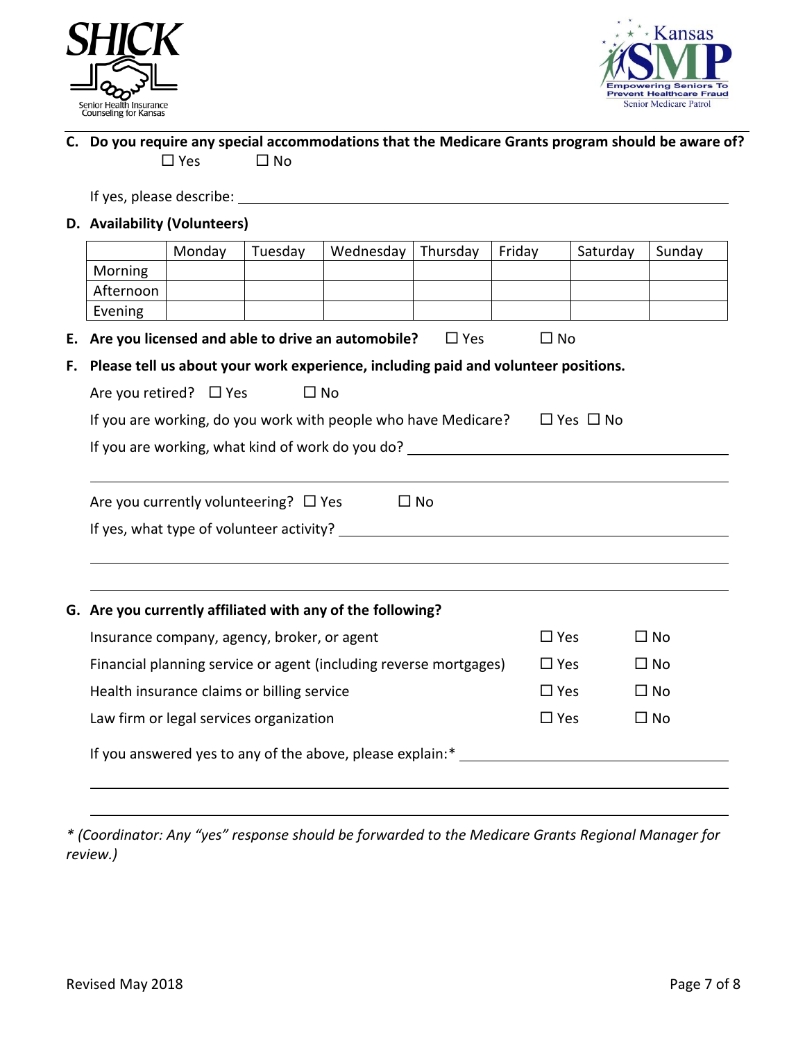



### **C. Do you require any special accommodations that the Medicare Grants program should be aware of?**  $\square$  Yes  $\square$  No

If yes, please describe:

#### **D. Availability (Volunteers)**

|                                                  | Monday                                      | Tuesday | Wednesday                                                                           | Thursday   | Friday        | Saturday | Sunday       |
|--------------------------------------------------|---------------------------------------------|---------|-------------------------------------------------------------------------------------|------------|---------------|----------|--------------|
| Morning                                          |                                             |         |                                                                                     |            |               |          |              |
| Afternoon                                        |                                             |         |                                                                                     |            |               |          |              |
| Evening                                          |                                             |         |                                                                                     |            |               |          |              |
| Е.                                               |                                             |         | Are you licensed and able to drive an automobile?                                   | $\Box$ Yes | $\square$ No  |          |              |
| F.                                               |                                             |         | Please tell us about your work experience, including paid and volunteer positions.  |            |               |          |              |
|                                                  | Are you retired? $\Box$ Yes                 |         | $\Box$ No                                                                           |            |               |          |              |
|                                                  |                                             |         | If you are working, do you work with people who have Medicare? $\Box$ Yes $\Box$ No |            |               |          |              |
| If you are working, what kind of work do you do? |                                             |         |                                                                                     |            |               |          |              |
|                                                  |                                             |         |                                                                                     |            |               |          |              |
|                                                  | Are you currently volunteering? $\Box$ Yes  |         |                                                                                     | $\Box$ No  |               |          |              |
|                                                  |                                             |         |                                                                                     |            |               |          |              |
|                                                  |                                             |         |                                                                                     |            |               |          |              |
|                                                  |                                             |         |                                                                                     |            |               |          |              |
|                                                  |                                             |         |                                                                                     |            |               |          |              |
|                                                  |                                             |         | G. Are you currently affiliated with any of the following?                          |            |               |          |              |
|                                                  | Insurance company, agency, broker, or agent |         |                                                                                     |            | $\square$ Yes |          | $\square$ No |
|                                                  |                                             |         | Financial planning service or agent (including reverse mortgages)                   |            | $\square$ Yes |          | $\square$ No |
|                                                  | Health insurance claims or billing service  |         |                                                                                     |            | $\Box$ Yes    |          | $\square$ No |
|                                                  | Law firm or legal services organization     |         |                                                                                     |            | $\square$ Yes |          | $\square$ No |
|                                                  |                                             |         | If you answered yes to any of the above, please explain:*                           |            |               |          |              |

*\* (Coordinator: Any "yes" response should be forwarded to the Medicare Grants Regional Manager for review.)*